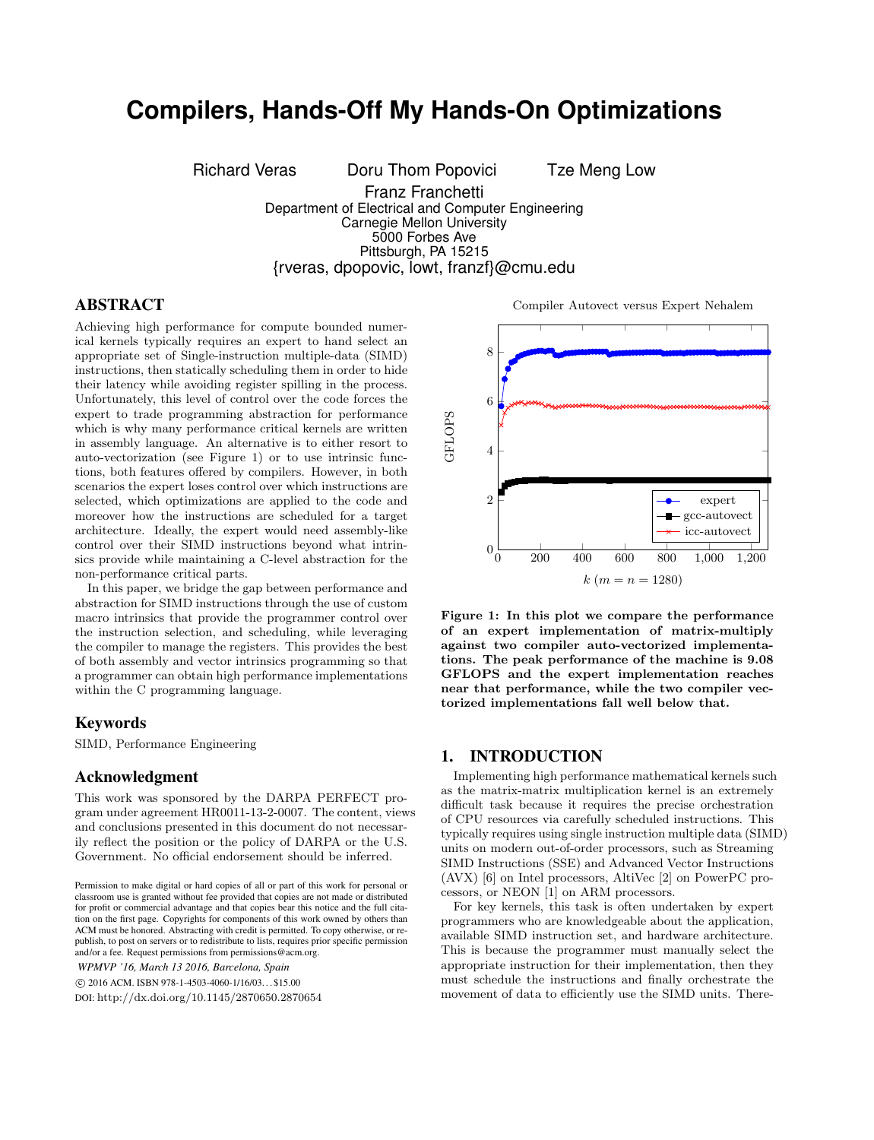# **Compilers, Hands-Off My Hands-On Optimizations**

Richard Veras Doru Thom Popovici Tze Meng Low Franz Franchetti Department of Electrical and Computer Engineering Carnegie Mellon University 5000 Forbes Ave

Pittsburgh, PA 15215

{rveras, dpopovic, lowt, franzf}@cmu.edu

# ABSTRACT

Achieving high performance for compute bounded numerical kernels typically requires an expert to hand select an appropriate set of Single-instruction multiple-data (SIMD) instructions, then statically scheduling them in order to hide their latency while avoiding register spilling in the process. Unfortunately, this level of control over the code forces the expert to trade programming abstraction for performance which is why many performance critical kernels are written in assembly language. An alternative is to either resort to auto-vectorization (see Figure 1) or to use intrinsic functions, both features offered by compilers. However, in both scenarios the expert loses control over which instructions are selected, which optimizations are applied to the code and moreover how the instructions are scheduled for a target architecture. Ideally, the expert would need assembly-like control over their SIMD instructions beyond what intrinsics provide while maintaining a C-level abstraction for the non-performance critical parts.

In this paper, we bridge the gap between performance and abstraction for SIMD instructions through the use of custom macro intrinsics that provide the programmer control over the instruction selection, and scheduling, while leveraging the compiler to manage the registers. This provides the best of both assembly and vector intrinsics programming so that a programmer can obtain high performance implementations within the C programming language.

## Keywords

SIMD, Performance Engineering

## Acknowledgment

This work was sponsored by the DARPA PERFECT program under agreement HR0011-13-2-0007. The content, views and conclusions presented in this document do not necessarily reflect the position or the policy of DARPA or the U.S. Government. No official endorsement should be inferred.

*WPMVP '16, March 13 2016, Barcelona, Spain*

c 2016 ACM. ISBN 978-1-4503-4060-1/16/03. . . \$15.00

DOI: http://dx.doi.org/10.1145/2870650.2870654

Compiler Autovect versus Expert Nehalem



Figure 1: In this plot we compare the performance of an expert implementation of matrix-multiply against two compiler auto-vectorized implementations. The peak performance of the machine is 9.08 GFLOPS and the expert implementation reaches near that performance, while the two compiler vectorized implementations fall well below that.

## 1. INTRODUCTION

Implementing high performance mathematical kernels such as the matrix-matrix multiplication kernel is an extremely difficult task because it requires the precise orchestration of CPU resources via carefully scheduled instructions. This typically requires using single instruction multiple data (SIMD) units on modern out-of-order processors, such as Streaming SIMD Instructions (SSE) and Advanced Vector Instructions (AVX) [6] on Intel processors, AltiVec [2] on PowerPC processors, or NEON [1] on ARM processors.

For key kernels, this task is often undertaken by expert programmers who are knowledgeable about the application, available SIMD instruction set, and hardware architecture. This is because the programmer must manually select the appropriate instruction for their implementation, then they must schedule the instructions and finally orchestrate the movement of data to efficiently use the SIMD units. There-

Permission to make digital or hard copies of all or part of this work for personal or classroom use is granted without fee provided that copies are not made or distributed for profit or commercial advantage and that copies bear this notice and the full citation on the first page. Copyrights for components of this work owned by others than ACM must be honored. Abstracting with credit is permitted. To copy otherwise, or republish, to post on servers or to redistribute to lists, requires prior specific permission and/or a fee. Request permissions from permissions@acm.org.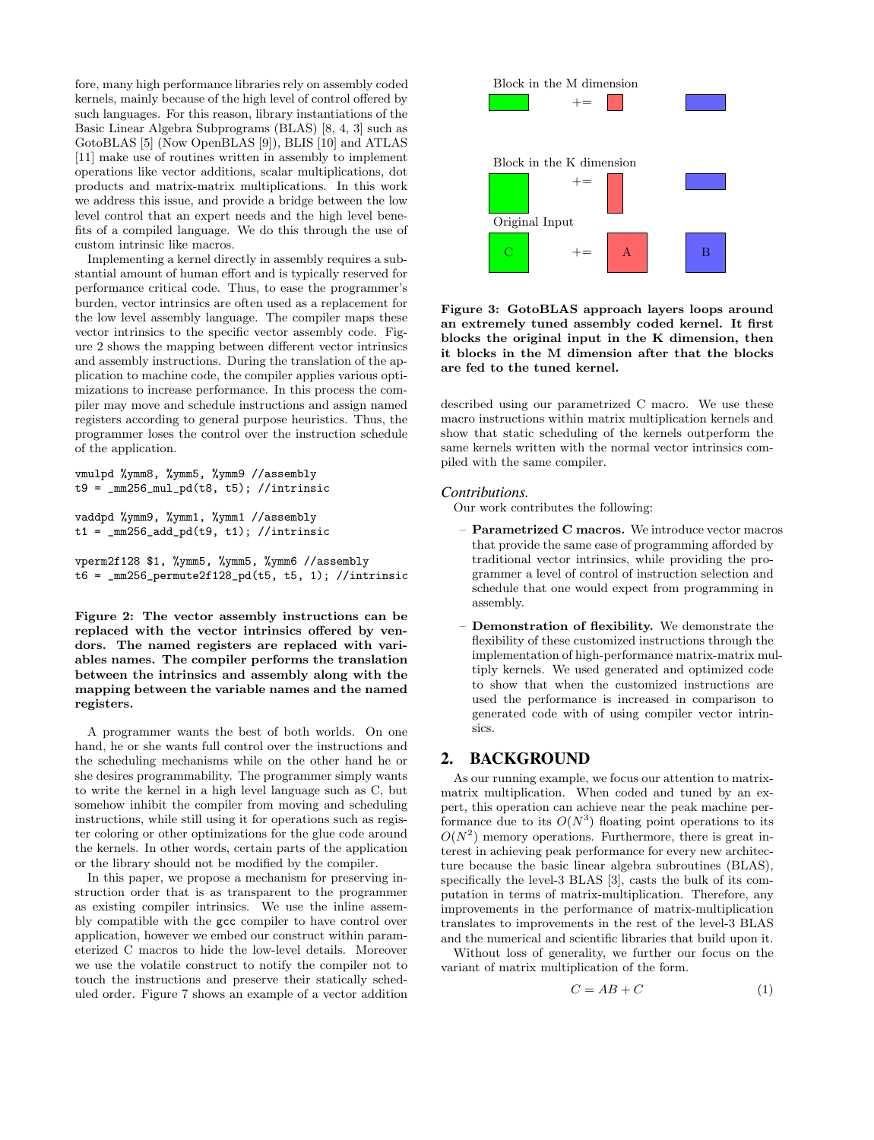fore, many high performance libraries rely on assembly coded kernels, mainly because of the high level of control offered by such languages. For this reason, library instantiations of the Basic Linear Algebra Subprograms (BLAS) [8, 4, 3] such as GotoBLAS [5] (Now OpenBLAS [9]), BLIS [10] and ATLAS [11] make use of routines written in assembly to implement operations like vector additions, scalar multiplications, dot products and matrix-matrix multiplications. In this work we address this issue, and provide a bridge between the low level control that an expert needs and the high level benefits of a compiled language. We do this through the use of custom intrinsic like macros.

Implementing a kernel directly in assembly requires a substantial amount of human effort and is typically reserved for performance critical code. Thus, to ease the programmer's burden, vector intrinsics are often used as a replacement for the low level assembly language. The compiler maps these vector intrinsics to the specific vector assembly code. Figure 2 shows the mapping between different vector intrinsics and assembly instructions. During the translation of the application to machine code, the compiler applies various optimizations to increase performance. In this process the compiler may move and schedule instructions and assign named registers according to general purpose heuristics. Thus, the programmer loses the control over the instruction schedule of the application.

```
vmulpd %ymm8, %ymm5, %ymm9 //assembly
t9 = \text{mm256\_mul\_pd(t8, t5)}; //intrinsic
```

```
vaddpd %ymm9, %ymm1, %ymm1 //assembly
t1 = \text{mm256\_add\_pd(t9, t1)}; //intrinsic
```
vperm2f128 \$1, %ymm5, %ymm5, %ymm6 //assembly  $t6 = \text{mm256\_permute2f128\_pd(t5, t5, 1); //intrinsic}$ 

Figure 2: The vector assembly instructions can be replaced with the vector intrinsics offered by vendors. The named registers are replaced with variables names. The compiler performs the translation between the intrinsics and assembly along with the mapping between the variable names and the named registers.

A programmer wants the best of both worlds. On one hand, he or she wants full control over the instructions and the scheduling mechanisms while on the other hand he or she desires programmability. The programmer simply wants to write the kernel in a high level language such as C, but somehow inhibit the compiler from moving and scheduling instructions, while still using it for operations such as register coloring or other optimizations for the glue code around the kernels. In other words, certain parts of the application or the library should not be modified by the compiler.

In this paper, we propose a mechanism for preserving instruction order that is as transparent to the programmer as existing compiler intrinsics. We use the inline assembly compatible with the gcc compiler to have control over application, however we embed our construct within parameterized C macros to hide the low-level details. Moreover we use the volatile construct to notify the compiler not to touch the instructions and preserve their statically scheduled order. Figure 7 shows an example of a vector addition



Figure 3: GotoBLAS approach layers loops around an extremely tuned assembly coded kernel. It first blocks the original input in the K dimension, then it blocks in the M dimension after that the blocks are fed to the tuned kernel.

described using our parametrized C macro. We use these macro instructions within matrix multiplication kernels and show that static scheduling of the kernels outperform the same kernels written with the normal vector intrinsics compiled with the same compiler.

#### *Contributions.*

Our work contributes the following:

- Parametrized C macros. We introduce vector macros that provide the same ease of programming afforded by traditional vector intrinsics, while providing the programmer a level of control of instruction selection and schedule that one would expect from programming in assembly.
- Demonstration of flexibility. We demonstrate the flexibility of these customized instructions through the implementation of high-performance matrix-matrix multiply kernels. We used generated and optimized code to show that when the customized instructions are used the performance is increased in comparison to generated code with of using compiler vector intrinsics.

## 2. BACKGROUND

As our running example, we focus our attention to matrixmatrix multiplication. When coded and tuned by an expert, this operation can achieve near the peak machine performance due to its  $O(N^3)$  floating point operations to its  $O(N^2)$  memory operations. Furthermore, there is great interest in achieving peak performance for every new architecture because the basic linear algebra subroutines (BLAS), specifically the level-3 BLAS [3], casts the bulk of its computation in terms of matrix-multiplication. Therefore, any improvements in the performance of matrix-multiplication translates to improvements in the rest of the level-3 BLAS and the numerical and scientific libraries that build upon it.

Without loss of generality, we further our focus on the variant of matrix multiplication of the form.

$$
C = AB + C \tag{1}
$$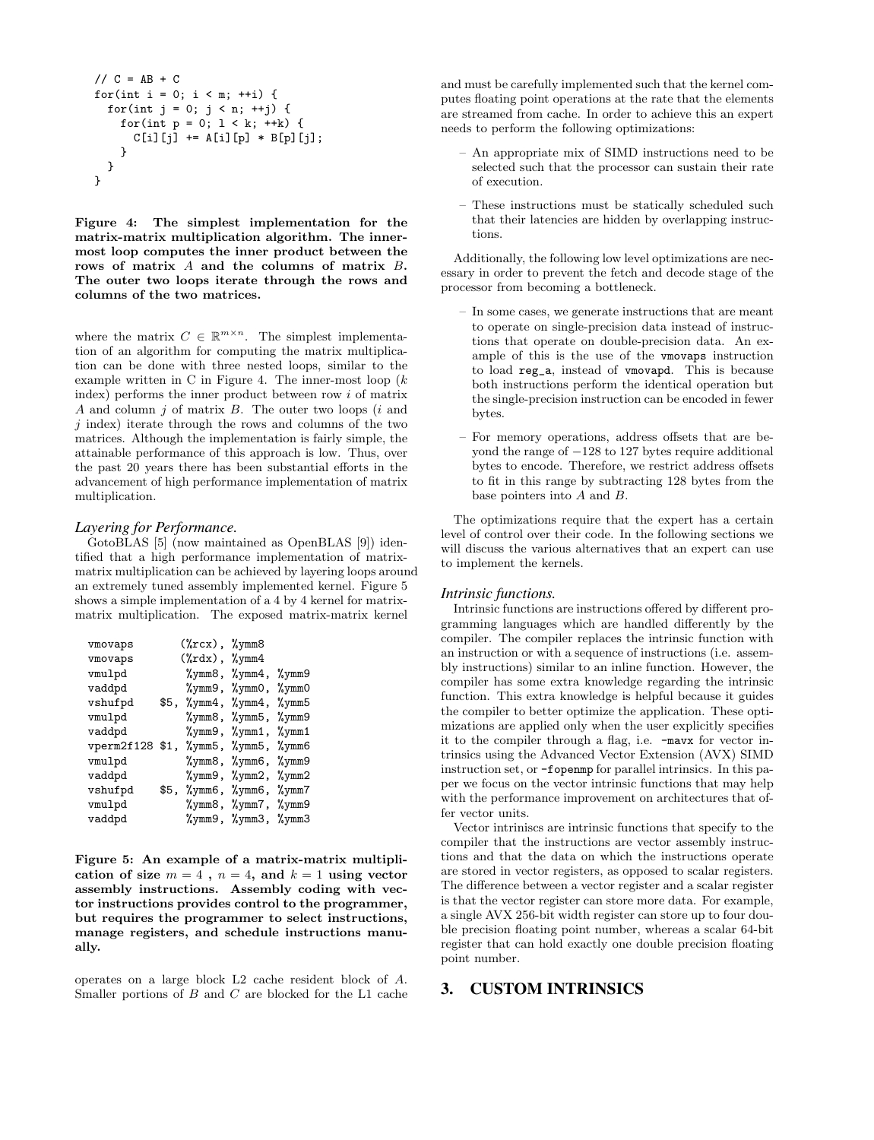```
// C = AB + Cfor(int i = 0; i < m; ++i) {
  for(int j = 0; j < n; ++j) {
    for(int p = 0; 1 < k; ++k) {
     C[i][j] += A[i][p] * B[p][j];}
 }
}
```
Figure 4: The simplest implementation for the matrix-matrix multiplication algorithm. The innermost loop computes the inner product between the rows of matrix A and the columns of matrix B. The outer two loops iterate through the rows and columns of the two matrices.

where the matrix  $C \in \mathbb{R}^{m \times n}$ . The simplest implementation of an algorithm for computing the matrix multiplication can be done with three nested loops, similar to the example written in C in Figure 4. The inner-most loop  $(k)$ index) performs the inner product between row i of matrix A and column  $j$  of matrix  $B$ . The outer two loops  $(i \text{ and } j \text{)}$  $j$  index) iterate through the rows and columns of the two matrices. Although the implementation is fairly simple, the attainable performance of this approach is low. Thus, over the past 20 years there has been substantial efforts in the advancement of high performance implementation of matrix multiplication.

### *Layering for Performance.*

GotoBLAS [5] (now maintained as OpenBLAS [9]) identified that a high performance implementation of matrixmatrix multiplication can be achieved by layering loops around an extremely tuned assembly implemented kernel. Figure 5 shows a simple implementation of a 4 by 4 kernel for matrixmatrix multiplication. The exposed matrix-matrix kernel

| vmovaps                             |      | $(\%r c x)$ , $\%ymm8$               |                                                            |  |
|-------------------------------------|------|--------------------------------------|------------------------------------------------------------|--|
| vmovaps                             |      | $(\% \text{rdx})$ , $\% \text{ymm4}$ |                                                            |  |
| vmulpd                              |      |                                      | $\frac{2}{3}$ ymm8, $\frac{2}{3}$ ymm4, $\frac{2}{3}$ ymm9 |  |
| vaddpd                              |      |                                      | %ymm9, %ymm0, %ymm0                                        |  |
| vshufpd                             |      | \$5, %ymm4, %ymm4, %ymm5             |                                                            |  |
| vmulpd                              |      |                                      | %ymm8, %ymm5, %ymm9                                        |  |
| vaddpd                              |      |                                      | $\frac{2}{3}$ ymm9, $\frac{2}{3}$ ymm1, $\frac{2}{3}$ ymm1 |  |
| vperm2f128 \$1, %ymm5, %ymm5, %ymm6 |      |                                      |                                                            |  |
| vmulpd                              |      |                                      | %ymm8, %ymm6, %ymm9                                        |  |
| vaddpd                              |      |                                      | %ymm9, %ymm2, %ymm2                                        |  |
| vshufpd                             | \$5, |                                      | $\frac{9}{2}$ ymm6, $\frac{9}{2}$ ymm6, $\frac{9}{2}$ ymm7 |  |
| vmulpd                              |      |                                      | $\frac{2}{3}$ ymm8, $\frac{2}{3}$ ymm7, $\frac{2}{3}$ ymm9 |  |
| vaddpd                              |      |                                      | %ymm9, %ymm3, %ymm3                                        |  |
|                                     |      |                                      |                                                            |  |

Figure 5: An example of a matrix-matrix multiplication of size  $m = 4$ ,  $n = 4$ , and  $k = 1$  using vector assembly instructions. Assembly coding with vector instructions provides control to the programmer, but requires the programmer to select instructions, manage registers, and schedule instructions manually.

operates on a large block L2 cache resident block of A. Smaller portions of  $B$  and  $C$  are blocked for the L1 cache and must be carefully implemented such that the kernel computes floating point operations at the rate that the elements are streamed from cache. In order to achieve this an expert needs to perform the following optimizations:

- An appropriate mix of SIMD instructions need to be selected such that the processor can sustain their rate of execution.
- These instructions must be statically scheduled such that their latencies are hidden by overlapping instructions.

Additionally, the following low level optimizations are necessary in order to prevent the fetch and decode stage of the processor from becoming a bottleneck.

- In some cases, we generate instructions that are meant to operate on single-precision data instead of instructions that operate on double-precision data. An example of this is the use of the vmovaps instruction to load reg\_a, instead of vmovapd. This is because both instructions perform the identical operation but the single-precision instruction can be encoded in fewer bytes.
- For memory operations, address offsets that are beyond the range of −128 to 127 bytes require additional bytes to encode. Therefore, we restrict address offsets to fit in this range by subtracting 128 bytes from the base pointers into A and B.

The optimizations require that the expert has a certain level of control over their code. In the following sections we will discuss the various alternatives that an expert can use to implement the kernels.

#### *Intrinsic functions.*

Intrinsic functions are instructions offered by different programming languages which are handled differently by the compiler. The compiler replaces the intrinsic function with an instruction or with a sequence of instructions (i.e. assembly instructions) similar to an inline function. However, the compiler has some extra knowledge regarding the intrinsic function. This extra knowledge is helpful because it guides the compiler to better optimize the application. These optimizations are applied only when the user explicitly specifies it to the compiler through a flag, i.e. -mavx for vector intrinsics using the Advanced Vector Extension (AVX) SIMD instruction set, or -fopenmp for parallel intrinsics. In this paper we focus on the vector intrinsic functions that may help with the performance improvement on architectures that offer vector units.

Vector intriniscs are intrinsic functions that specify to the compiler that the instructions are vector assembly instructions and that the data on which the instructions operate are stored in vector registers, as opposed to scalar registers. The difference between a vector register and a scalar register is that the vector register can store more data. For example, a single AVX 256-bit width register can store up to four double precision floating point number, whereas a scalar 64-bit register that can hold exactly one double precision floating point number.

# 3. CUSTOM INTRINSICS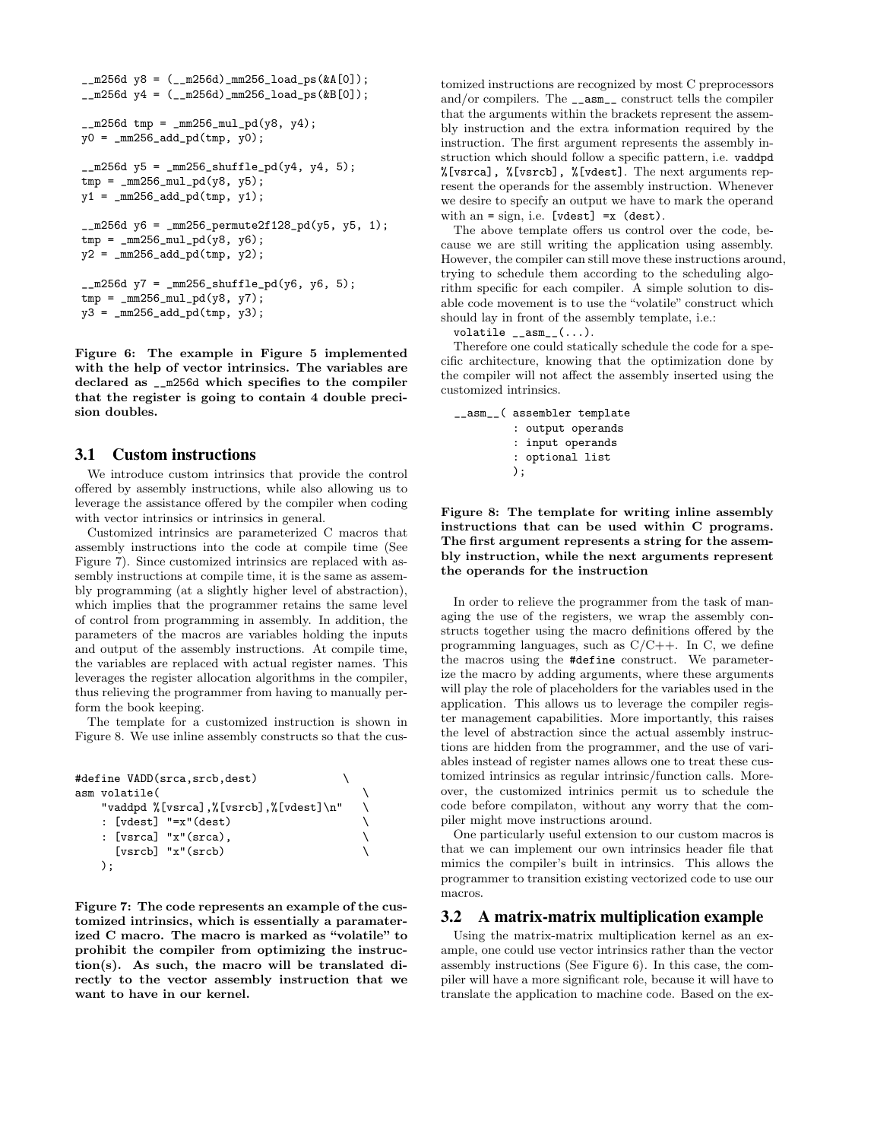```
_{2} m256d y8 = (_{2}m256d) mm256 load ps(&A[0]);
_{2} m256d y4 = (_{2}m256d) mm256 load ps(&B[0]);
_{2}m256d tmp = _{mm256\_mul\_pd(y8, y4)};
y0 = _mm256_add_pd(tmp, y0);
_{2}m256d y5 = _{mm256\_shuffle\_pd(y4, y4, 5);}tmp = _mm256_mul_pd(y8, y5);y1 = \text{mm256\_add\_pd(tmp, y1)};
__m256d y6 = _mm256_permute2f128_pd(y5, y5, 1);
tmp = _mm256_mul_pd(y8, y6);y2 = \text{mm256\_add\_pd(tmp, y2)};_{2}m256d y7 = _{2}mm256_{shuffle\_pd(y6, y6, 5)};
tmp = _mm256_mul_pd(y8, y7);y3 = \text{mm256\_add\_pd(tmp, y3)};
```
Figure 6: The example in Figure 5 implemented with the help of vector intrinsics. The variables are declared as \_\_m256d which specifies to the compiler that the register is going to contain 4 double precision doubles.

## 3.1 Custom instructions

We introduce custom intrinsics that provide the control offered by assembly instructions, while also allowing us to leverage the assistance offered by the compiler when coding with vector intrinsics or intrinsics in general.

Customized intrinsics are parameterized C macros that assembly instructions into the code at compile time (See Figure 7). Since customized intrinsics are replaced with assembly instructions at compile time, it is the same as assembly programming (at a slightly higher level of abstraction), which implies that the programmer retains the same level of control from programming in assembly. In addition, the parameters of the macros are variables holding the inputs and output of the assembly instructions. At compile time, the variables are replaced with actual register names. This leverages the register allocation algorithms in the compiler, thus relieving the programmer from having to manually perform the book keeping.

The template for a customized instruction is shown in Figure 8. We use inline assembly constructs so that the cus-

```
#define VADD(srca,srcb,dest) \
asm volatile( \
    "vaddpd %[vsrca],%[vsrcb],%[vdest]\n" \
    : [vdest] "=x"(dest) \
    : [vsrca] "x"(srca), \
      [vsrcb] "x"(srcb) \
    );
```
Figure 7: The code represents an example of the customized intrinsics, which is essentially a paramaterized C macro. The macro is marked as "volatile" to prohibit the compiler from optimizing the instruction(s). As such, the macro will be translated directly to the vector assembly instruction that we want to have in our kernel.

tomized instructions are recognized by most C preprocessors and/or compilers. The \_\_asm\_\_ construct tells the compiler that the arguments within the brackets represent the assembly instruction and the extra information required by the instruction. The first argument represents the assembly instruction which should follow a specific pattern, i.e. vaddpd %[vsrca], %[vsrcb], %[vdest]. The next arguments represent the operands for the assembly instruction. Whenever we desire to specify an output we have to mark the operand with an = sign, i.e. [vdest] =x (dest).

The above template offers us control over the code, because we are still writing the application using assembly. However, the compiler can still move these instructions around, trying to schedule them according to the scheduling algorithm specific for each compiler. A simple solution to disable code movement is to use the "volatile" construct which should lay in front of the assembly template, i.e.:

```
volatile _{-\text{asm}_{-}}(\ldots).
```
Therefore one could statically schedule the code for a specific architecture, knowing that the optimization done by the compiler will not affect the assembly inserted using the customized intrinsics.

```
__asm__( assembler template
         : output operands
         : input operands
         : optional list
         );
```
Figure 8: The template for writing inline assembly instructions that can be used within C programs. The first argument represents a string for the assembly instruction, while the next arguments represent the operands for the instruction

In order to relieve the programmer from the task of managing the use of the registers, we wrap the assembly constructs together using the macro definitions offered by the programming languages, such as  $C/C++$ . In C, we define the macros using the #define construct. We parameterize the macro by adding arguments, where these arguments will play the role of placeholders for the variables used in the application. This allows us to leverage the compiler register management capabilities. More importantly, this raises the level of abstraction since the actual assembly instructions are hidden from the programmer, and the use of variables instead of register names allows one to treat these customized intrinsics as regular intrinsic/function calls. Moreover, the customized intrinics permit us to schedule the code before compilaton, without any worry that the compiler might move instructions around.

One particularly useful extension to our custom macros is that we can implement our own intrinsics header file that mimics the compiler's built in intrinsics. This allows the programmer to transition existing vectorized code to use our macros.

## 3.2 A matrix-matrix multiplication example

Using the matrix-matrix multiplication kernel as an example, one could use vector intrinsics rather than the vector assembly instructions (See Figure 6). In this case, the compiler will have a more significant role, because it will have to translate the application to machine code. Based on the ex-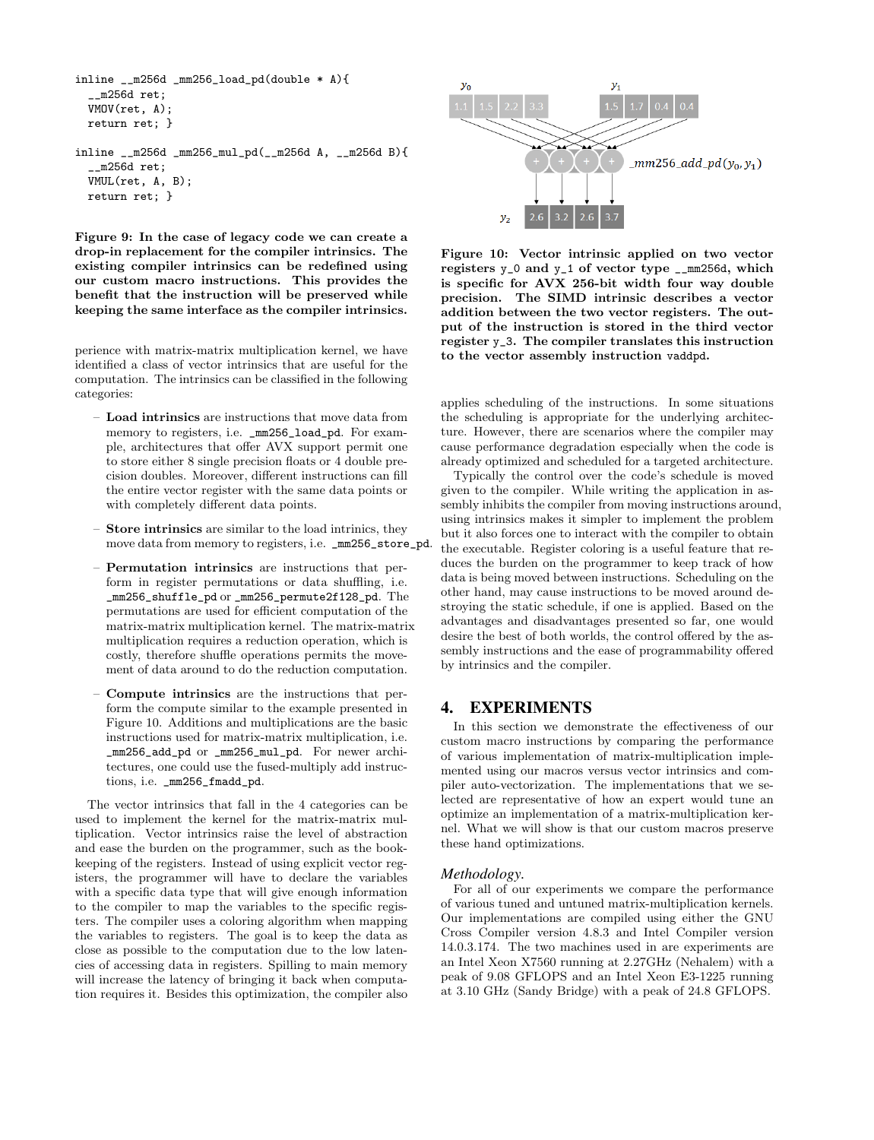```
inline \_m256d \_mm256 \_load \_pd (double * A) {
  \_m256d ret;
  VMOV(ret, A);
 return ret; }
inline __m256d _mm256_mul_pd(__m256d A, __m256d B){
  _{-}m256d ret;
  VMUL(ret, A, B);
  return ret; }
```
Figure 9: In the case of legacy code we can create a drop-in replacement for the compiler intrinsics. The existing compiler intrinsics can be redefined using our custom macro instructions. This provides the benefit that the instruction will be preserved while keeping the same interface as the compiler intrinsics.

perience with matrix-matrix multiplication kernel, we have identified a class of vector intrinsics that are useful for the computation. The intrinsics can be classified in the following categories:

- Load intrinsics are instructions that move data from memory to registers, i.e. \_mm256\_load\_pd. For example, architectures that offer AVX support permit one to store either 8 single precision floats or 4 double precision doubles. Moreover, different instructions can fill the entire vector register with the same data points or with completely different data points.
- **Store intrinsics** are similar to the load intrinics, they move data from memory to registers, i.e. \_mm256\_store\_pd.
- Permutation intrinsics are instructions that perform in register permutations or data shuffling, i.e. \_mm256\_shuffle\_pd or \_mm256\_permute2f128\_pd. The permutations are used for efficient computation of the matrix-matrix multiplication kernel. The matrix-matrix multiplication requires a reduction operation, which is costly, therefore shuffle operations permits the movement of data around to do the reduction computation.
- Compute intrinsics are the instructions that perform the compute similar to the example presented in Figure 10. Additions and multiplications are the basic instructions used for matrix-matrix multiplication, i.e. \_mm256\_add\_pd or \_mm256\_mul\_pd. For newer architectures, one could use the fused-multiply add instructions, i.e. \_mm256\_fmadd\_pd.

The vector intrinsics that fall in the 4 categories can be used to implement the kernel for the matrix-matrix multiplication. Vector intrinsics raise the level of abstraction and ease the burden on the programmer, such as the bookkeeping of the registers. Instead of using explicit vector registers, the programmer will have to declare the variables with a specific data type that will give enough information to the compiler to map the variables to the specific registers. The compiler uses a coloring algorithm when mapping the variables to registers. The goal is to keep the data as close as possible to the computation due to the low latencies of accessing data in registers. Spilling to main memory will increase the latency of bringing it back when computation requires it. Besides this optimization, the compiler also



Figure 10: Vector intrinsic applied on two vector registers y\_0 and y\_1 of vector type \_\_mm256d, which is specific for AVX 256-bit width four way double precision. The SIMD intrinsic describes a vector addition between the two vector registers. The output of the instruction is stored in the third vector register y\_3. The compiler translates this instruction to the vector assembly instruction vaddpd.

applies scheduling of the instructions. In some situations the scheduling is appropriate for the underlying architecture. However, there are scenarios where the compiler may cause performance degradation especially when the code is already optimized and scheduled for a targeted architecture.

Typically the control over the code's schedule is moved given to the compiler. While writing the application in assembly inhibits the compiler from moving instructions around, using intrinsics makes it simpler to implement the problem but it also forces one to interact with the compiler to obtain the executable. Register coloring is a useful feature that reduces the burden on the programmer to keep track of how data is being moved between instructions. Scheduling on the other hand, may cause instructions to be moved around destroying the static schedule, if one is applied. Based on the advantages and disadvantages presented so far, one would desire the best of both worlds, the control offered by the assembly instructions and the ease of programmability offered by intrinsics and the compiler.

## 4. EXPERIMENTS

In this section we demonstrate the effectiveness of our custom macro instructions by comparing the performance of various implementation of matrix-multiplication implemented using our macros versus vector intrinsics and compiler auto-vectorization. The implementations that we selected are representative of how an expert would tune an optimize an implementation of a matrix-multiplication kernel. What we will show is that our custom macros preserve these hand optimizations.

#### *Methodology.*

For all of our experiments we compare the performance of various tuned and untuned matrix-multiplication kernels. Our implementations are compiled using either the GNU Cross Compiler version 4.8.3 and Intel Compiler version 14.0.3.174. The two machines used in are experiments are an Intel Xeon X7560 running at 2.27GHz (Nehalem) with a peak of 9.08 GFLOPS and an Intel Xeon E3-1225 running at 3.10 GHz (Sandy Bridge) with a peak of 24.8 GFLOPS.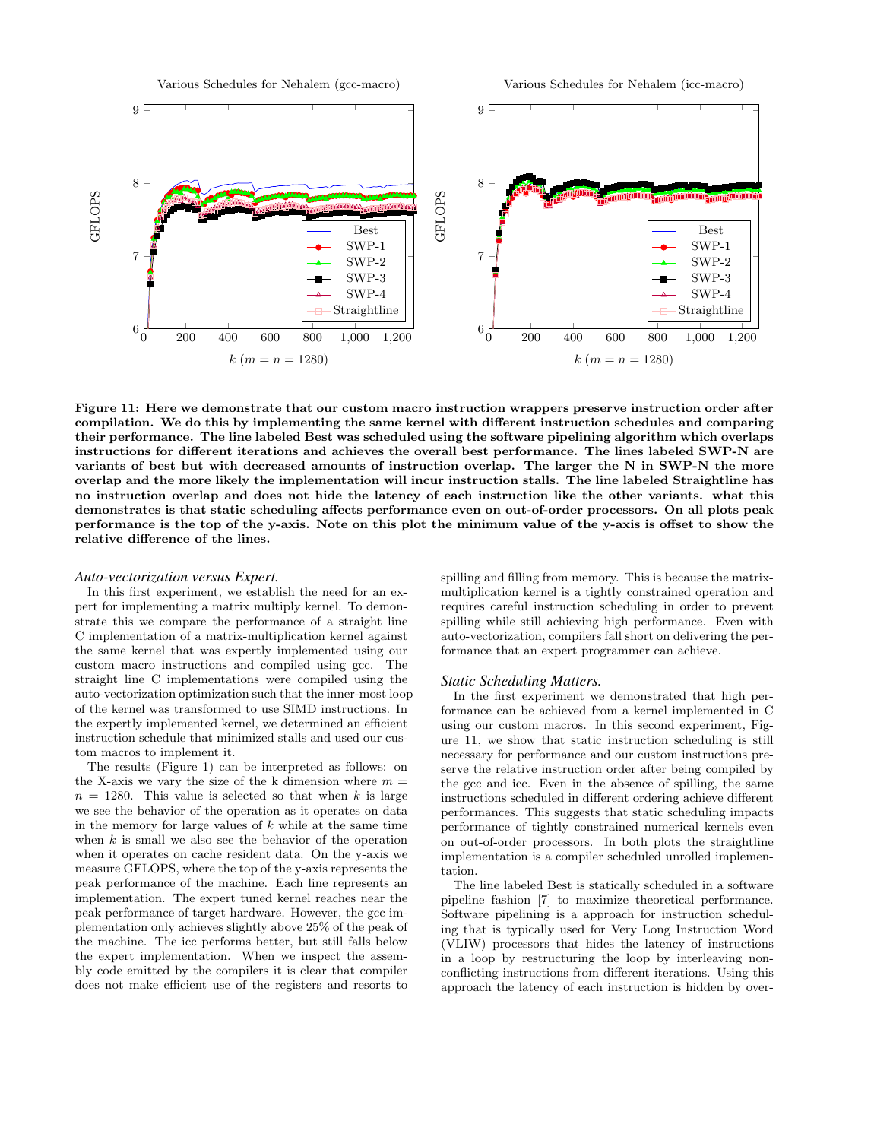

Figure 11: Here we demonstrate that our custom macro instruction wrappers preserve instruction order after compilation. We do this by implementing the same kernel with different instruction schedules and comparing their performance. The line labeled Best was scheduled using the software pipelining algorithm which overlaps instructions for different iterations and achieves the overall best performance. The lines labeled SWP-N are variants of best but with decreased amounts of instruction overlap. The larger the N in SWP-N the more overlap and the more likely the implementation will incur instruction stalls. The line labeled Straightline has no instruction overlap and does not hide the latency of each instruction like the other variants. what this demonstrates is that static scheduling affects performance even on out-of-order processors. On all plots peak performance is the top of the y-axis. Note on this plot the minimum value of the y-axis is offset to show the relative difference of the lines.

#### *Auto-vectorization versus Expert.*

In this first experiment, we establish the need for an expert for implementing a matrix multiply kernel. To demonstrate this we compare the performance of a straight line C implementation of a matrix-multiplication kernel against the same kernel that was expertly implemented using our custom macro instructions and compiled using gcc. The straight line C implementations were compiled using the auto-vectorization optimization such that the inner-most loop of the kernel was transformed to use SIMD instructions. In the expertly implemented kernel, we determined an efficient instruction schedule that minimized stalls and used our custom macros to implement it.

The results (Figure 1) can be interpreted as follows: on the X-axis we vary the size of the k dimension where  $m =$  $n = 1280$ . This value is selected so that when k is large we see the behavior of the operation as it operates on data in the memory for large values of  $k$  while at the same time when  $k$  is small we also see the behavior of the operation when it operates on cache resident data. On the y-axis we measure GFLOPS, where the top of the y-axis represents the peak performance of the machine. Each line represents an implementation. The expert tuned kernel reaches near the peak performance of target hardware. However, the gcc implementation only achieves slightly above 25% of the peak of the machine. The icc performs better, but still falls below the expert implementation. When we inspect the assembly code emitted by the compilers it is clear that compiler does not make efficient use of the registers and resorts to spilling and filling from memory. This is because the matrixmultiplication kernel is a tightly constrained operation and requires careful instruction scheduling in order to prevent spilling while still achieving high performance. Even with auto-vectorization, compilers fall short on delivering the performance that an expert programmer can achieve.

#### *Static Scheduling Matters.*

In the first experiment we demonstrated that high performance can be achieved from a kernel implemented in C using our custom macros. In this second experiment, Figure 11, we show that static instruction scheduling is still necessary for performance and our custom instructions preserve the relative instruction order after being compiled by the gcc and icc. Even in the absence of spilling, the same instructions scheduled in different ordering achieve different performances. This suggests that static scheduling impacts performance of tightly constrained numerical kernels even on out-of-order processors. In both plots the straightline implementation is a compiler scheduled unrolled implementation.

The line labeled Best is statically scheduled in a software pipeline fashion [7] to maximize theoretical performance. Software pipelining is a approach for instruction scheduling that is typically used for Very Long Instruction Word (VLIW) processors that hides the latency of instructions in a loop by restructuring the loop by interleaving nonconflicting instructions from different iterations. Using this approach the latency of each instruction is hidden by over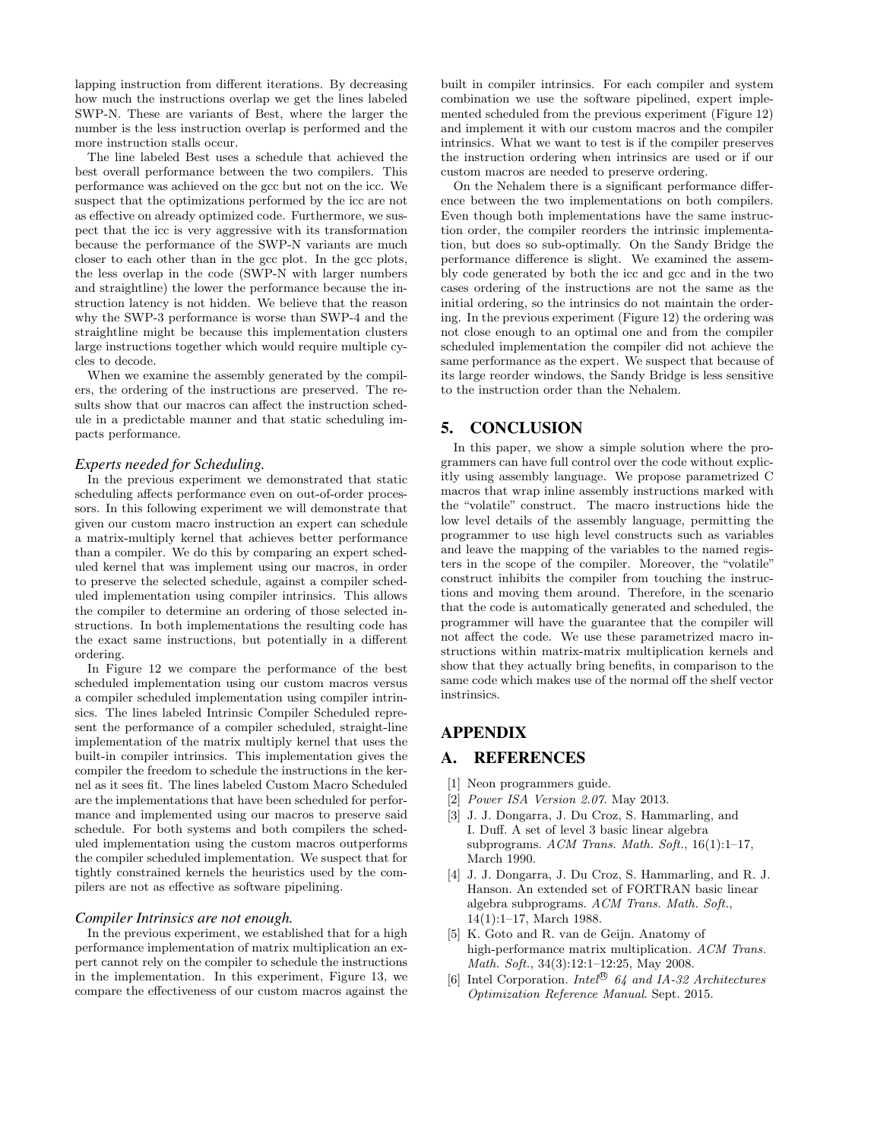lapping instruction from different iterations. By decreasing how much the instructions overlap we get the lines labeled SWP-N. These are variants of Best, where the larger the number is the less instruction overlap is performed and the more instruction stalls occur.

The line labeled Best uses a schedule that achieved the best overall performance between the two compilers. This performance was achieved on the gcc but not on the icc. We suspect that the optimizations performed by the icc are not as effective on already optimized code. Furthermore, we suspect that the icc is very aggressive with its transformation because the performance of the SWP-N variants are much closer to each other than in the gcc plot. In the gcc plots, the less overlap in the code (SWP-N with larger numbers and straightline) the lower the performance because the instruction latency is not hidden. We believe that the reason why the SWP-3 performance is worse than SWP-4 and the straightline might be because this implementation clusters large instructions together which would require multiple cycles to decode.

When we examine the assembly generated by the compilers, the ordering of the instructions are preserved. The results show that our macros can affect the instruction schedule in a predictable manner and that static scheduling impacts performance.

## *Experts needed for Scheduling.*

In the previous experiment we demonstrated that static scheduling affects performance even on out-of-order processors. In this following experiment we will demonstrate that given our custom macro instruction an expert can schedule a matrix-multiply kernel that achieves better performance than a compiler. We do this by comparing an expert scheduled kernel that was implement using our macros, in order to preserve the selected schedule, against a compiler scheduled implementation using compiler intrinsics. This allows the compiler to determine an ordering of those selected instructions. In both implementations the resulting code has the exact same instructions, but potentially in a different ordering.

In Figure 12 we compare the performance of the best scheduled implementation using our custom macros versus a compiler scheduled implementation using compiler intrinsics. The lines labeled Intrinsic Compiler Scheduled represent the performance of a compiler scheduled, straight-line implementation of the matrix multiply kernel that uses the built-in compiler intrinsics. This implementation gives the compiler the freedom to schedule the instructions in the kernel as it sees fit. The lines labeled Custom Macro Scheduled are the implementations that have been scheduled for performance and implemented using our macros to preserve said schedule. For both systems and both compilers the scheduled implementation using the custom macros outperforms the compiler scheduled implementation. We suspect that for tightly constrained kernels the heuristics used by the compilers are not as effective as software pipelining.

#### *Compiler Intrinsics are not enough.*

In the previous experiment, we established that for a high performance implementation of matrix multiplication an expert cannot rely on the compiler to schedule the instructions in the implementation. In this experiment, Figure 13, we compare the effectiveness of our custom macros against the built in compiler intrinsics. For each compiler and system combination we use the software pipelined, expert implemented scheduled from the previous experiment (Figure 12) and implement it with our custom macros and the compiler intrinsics. What we want to test is if the compiler preserves the instruction ordering when intrinsics are used or if our custom macros are needed to preserve ordering.

On the Nehalem there is a significant performance difference between the two implementations on both compilers. Even though both implementations have the same instruction order, the compiler reorders the intrinsic implementation, but does so sub-optimally. On the Sandy Bridge the performance difference is slight. We examined the assembly code generated by both the icc and gcc and in the two cases ordering of the instructions are not the same as the initial ordering, so the intrinsics do not maintain the ordering. In the previous experiment (Figure 12) the ordering was not close enough to an optimal one and from the compiler scheduled implementation the compiler did not achieve the same performance as the expert. We suspect that because of its large reorder windows, the Sandy Bridge is less sensitive to the instruction order than the Nehalem.

#### 5. CONCLUSION

In this paper, we show a simple solution where the programmers can have full control over the code without explicitly using assembly language. We propose parametrized C macros that wrap inline assembly instructions marked with the "volatile" construct. The macro instructions hide the low level details of the assembly language, permitting the programmer to use high level constructs such as variables and leave the mapping of the variables to the named registers in the scope of the compiler. Moreover, the "volatile" construct inhibits the compiler from touching the instructions and moving them around. Therefore, in the scenario that the code is automatically generated and scheduled, the programmer will have the guarantee that the compiler will not affect the code. We use these parametrized macro instructions within matrix-matrix multiplication kernels and show that they actually bring benefits, in comparison to the same code which makes use of the normal off the shelf vector instrinsics.

# APPENDIX

## A. REFERENCES

- [1] Neon programmers guide.
- [2] Power ISA Version 2.07. May 2013.
- [3] J. J. Dongarra, J. Du Croz, S. Hammarling, and I. Duff. A set of level 3 basic linear algebra subprograms. ACM Trans. Math. Soft., 16(1):1–17, March 1990.
- [4] J. J. Dongarra, J. Du Croz, S. Hammarling, and R. J. Hanson. An extended set of FORTRAN basic linear algebra subprograms. ACM Trans. Math. Soft., 14(1):1–17, March 1988.
- [5] K. Goto and R. van de Geijn. Anatomy of high-performance matrix multiplication. ACM Trans. Math. Soft., 34(3):12:1–12:25, May 2008.
- [6] Intel Corporation. *Intel*<sup>®</sup> 64 and IA-32 Architectures Optimization Reference Manual. Sept. 2015.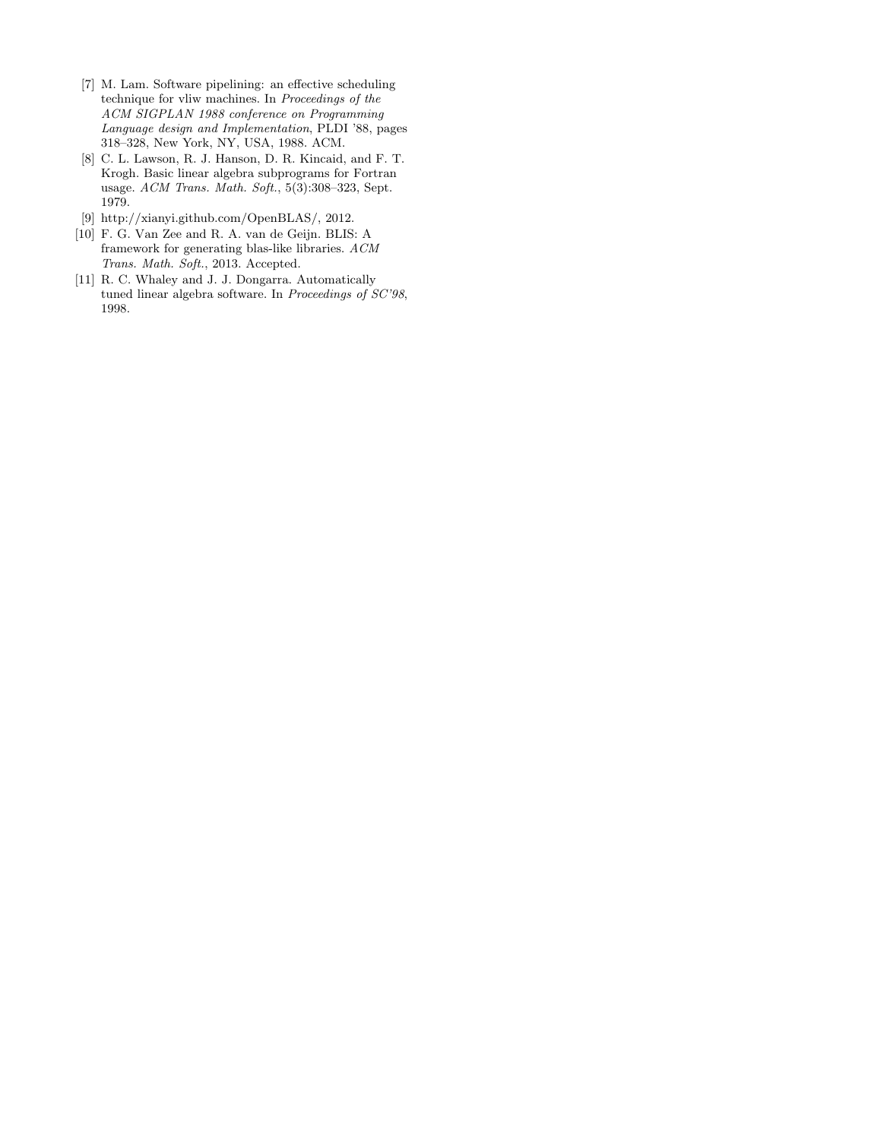- [7] M. Lam. Software pipelining: an effective scheduling technique for vliw machines. In Proceedings of the ACM SIGPLAN 1988 conference on Programming Language design and Implementation, PLDI '88, pages 318–328, New York, NY, USA, 1988. ACM.
- [8] C. L. Lawson, R. J. Hanson, D. R. Kincaid, and F. T. Krogh. Basic linear algebra subprograms for Fortran usage. ACM Trans. Math. Soft., 5(3):308–323, Sept. 1979.
- [9] http://xianyi.github.com/OpenBLAS/, 2012.
- [10] F. G. Van Zee and R. A. van de Geijn. BLIS: A framework for generating blas-like libraries. ACM Trans. Math. Soft., 2013. Accepted.
- [11] R. C. Whaley and J. J. Dongarra. Automatically tuned linear algebra software. In Proceedings of SC'98, 1998.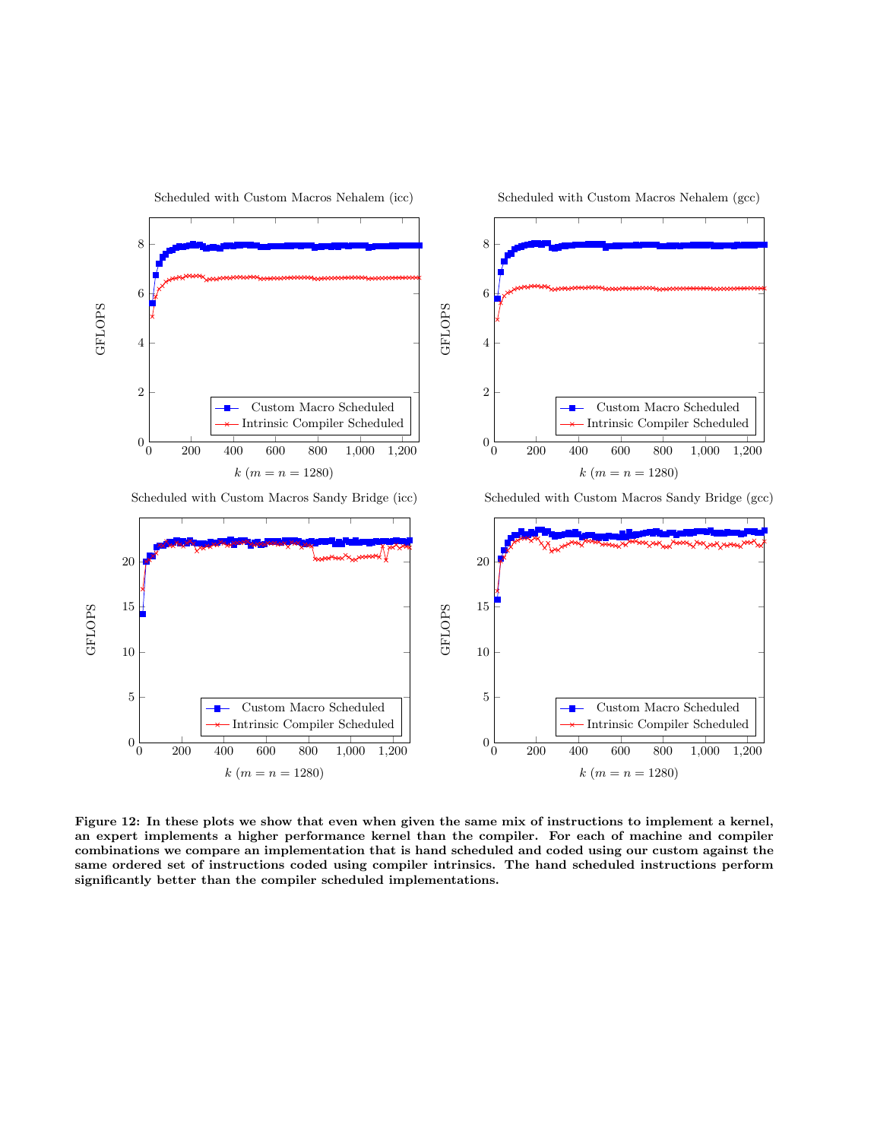

Figure 12: In these plots we show that even when given the same mix of instructions to implement a kernel, an expert implements a higher performance kernel than the compiler. For each of machine and compiler combinations we compare an implementation that is hand scheduled and coded using our custom against the same ordered set of instructions coded using compiler intrinsics. The hand scheduled instructions perform significantly better than the compiler scheduled implementations.